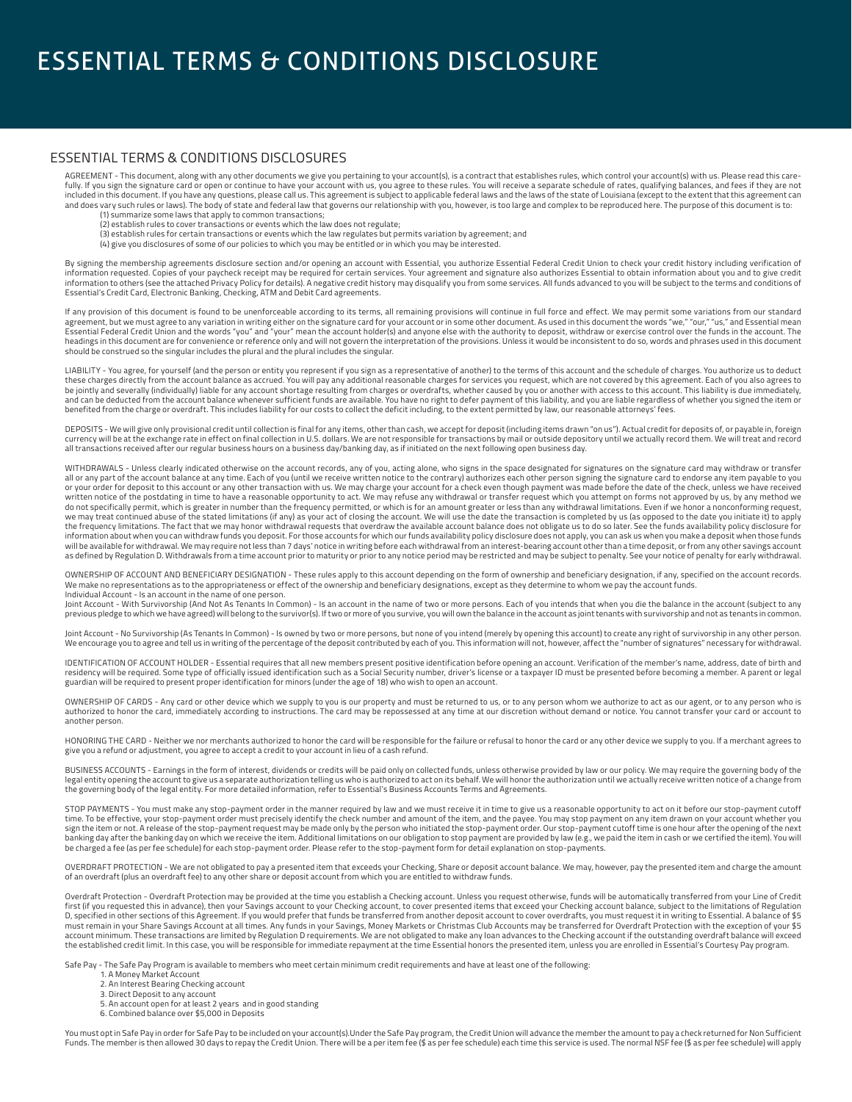### ESSENTIAL TERMS & CONDITIONS DISCLOSURES

AGREEMENT - This document, along with any other documents we give you pertaining to your account(s), is a contract that establishes rules, which control your account(s) with us. Please read this carefully. If you sign the signature card or open or continue to have your account with us, you agree to these rules. You will receive a separate schedule of rates, qualifying balances, and fees if they are not<br>included in thi and does vary such rules or laws). The body of state and federal law that governs our relationship with you, however, is too large and complex to be reproduced here. The purpose of this document is to:

- (1) summarize some laws that apply to common transactions; (2) establish rules to cover transactions or events which the law does not regulate;
- 
- (3) establish rules for certain transactions or events which the law regulates but permits variation by agreement; and
- (4) give you disclosures of some of our policies to which you may be entitled or in which you may be interested.

By signing the membership agreements disclosure section and/or opening an account with Essential, you authorize Essential Federal Credit Union to check your credit history including verification of information requested. Copies of your paycheck receipt may be required for certain services. Your agreement and signature also authorizes Essential to obtain information about you and to give credit<br>information to others ( Essential's Credit Card, Electronic Banking, Checking, ATM and Debit Card agreements.

If any provision of this document is found to be unenforceable according to its terms, all remaining provisions will continue in full force and effect. We may permit some variations from our standard agreement, but we must agree to any variation in writing either on the signature card for your account or in some other document. As used in this document the words "we," "our," "us," and Essential mean Essential Federal Credit Union and the words "you" and "your" mean the account holder(s) and anyone else with the authority to deposit, withdraw or exercise control over the funds in the account. The headings in this document are for convenience or reference only and will not govern the interpretation of the provisions. Unless it would be inconsistent to do so, words and phrases used in this document should be construed so the singular includes the plural and the plural includes the singular.

LIABILITY - You agree, for yourself (and the person or entity you represent if you sign as a representative of another) to the terms of this account and the schedule of charges. You authorize us to deduct<br>these charges dir be jointly and severally (individually) liable for any account shortage resulting from charges or overdrafts, whether caused by you or another with access to this account. This liability is due immediately,<br>and can be dedu benefited from the charge or overdraft. This includes liability for our costs to collect the deficit including, to the extent permitted by law, our reasonable attorneys' fees.

DEPOSITS - We will give only provisional credit until collection is final for any items, other than cash, we accept for deposit (including items drawn "on us"). Actual credit for deposits of, or payable in, foreign currency will be at the exchange rate in effect on final collection in U.S. dollars. We are not responsible for transactions by mail or outside depository until we actually record them. We will treat and record all transactions received after our regular business hours on a business day/banking day, as if initiated on the next following open business day.

WITHDRAWALS - Unless clearly indicated otherwise on the account records, any of you, acting alone, who signs in the space designated for signatures on the signature card may withdraw or transfer all or any part of the account balance at any time. Each of you (until we receive written notice to the contrary) authorizes each other person signing the signature card to endorse any item payable to you or your order for deposit to this account or any other transaction with us. We may charge your account for a check even though payment was made before the date of the check, unless we have received<br>written notice of the po do not specifically permit, which is greater in number than the frequency permitted, or which is for an amount greater or less than any withdrawal limitations. Even if we honor a nonconforming request, we may treat continued abuse of the stated limitations (if any) as your act of closing the account. We will use the date the transaction is completed by us (as opposed to the date you initiate it) to apply<br>the frequency li information about when you can withdraw funds you deposit. For those accounts for which our funds availability policy disclosure does not apply, you can ask us when you make a deposit when those funds will be available for withdrawal. We may require not less than 7 days' notice in writing before each withdrawal from an interest-bearing account other than a time deposit, or from any other savings account<br>as defined by Re

OWNERSHIP OF ACCOUNT AND BENEFICIARY DESIGNATION - These rules apply to this account depending on the form of ownership and beneficiary designation, if any, specified on the account records.<br>We make no representations as t Individual Account - Is an account in the name of one person.

Joint Account - With Survivorship (And Not As Tenants In Common) - Is an account in the name of two or more persons. Each of you intends that when you die the balance in the account (subject to any<br>previous pledge to which

Joint Account - No Survivorship (As Tenants In Common) - Is owned by two or more persons, but none of you intend (merely by opening this account) to create any right of survivorship in any other person.<br>We encourage you to

IDENTIFICATION OF ACCOUNT HOLDER - Essential requires that all new members present positive identification before opening an account. Verification of the member's name, address, date of birth and<br>residency will be required guardian will be required to present proper identification for minors (under the age of 18) who wish to open an account.

OWNERSHIP OF CARDS - Any card or other device which we supply to you is our property and must be returned to us, or to any person whom we authorize to act as our agent, or to any person who is authorized to honor the card, immediately according to instructions. The card may be repossessed at any time at our discretion without demand or notice. You cannot transfer your card or account to another person.

HONORING THE CARD - Neither we nor merchants authorized to honor the card will be responsible for the failure or refusal to honor the card or any other device we supply to you. If a merchant agrees to give you a refund or adjustment, you agree to accept a credit to your account in lieu of a cash refund.

BUSINESS ACCOUNTS - Earnings in the form of interest, dividends or credits will be paid only on collected funds, unless otherwise provided by law or our policy. We may require the governing body of the<br>legal entity opening the governing body of the legal entity. For more detailed information, refer to Essential's Business Accounts Terms and Agreements.

STOP PAYMENTS - You must make any stop-payment order in the manner required by law and we must receive it in time to give us a reasonable opportunity to act on it before our stop-payment cutoff time. To be effective, your stop-payment order must precisely identify the check number and amount of the item, and the payee. You may stop payment on any item drawn on your account whether you sign the item or not. A release of the stop-payment request may be made only by the person who initiated the stop-payment order. Our stop-payment cutoff time is one hour after the opening of the next banking day after the banking day on which we receive the item. Additional limitations on our obligation to stop payment are provided by law (e.g., we paid the item in cash or we certified the item). You will be charged a fee (as per fee schedule) for each stop-payment order. Please refer to the stop-payment form for detail explanation on stop-payments.

OVERDRAFT PROTECTION - We are not obligated to pay a presented item that exceeds your Checking, Share or deposit account balance. We may, however, pay the presented item and charge the amount of an overdraft (plus an overdraft fee) to any other share or deposit account from which you are entitled to withdraw funds.

Overdraft Protection - Overdraft Protection may be provided at the time you establish a Checking account. Unless you request otherwise, funds will be automatically transferred from your Line of Credit first (if you requested this in advance), then your Savings account to your Checking account, to cover presented items that exceed your Checking account balance, subject to the limitations of Regulation<br>D, specified in ot account minimum. These transactions are limited by Regulation D requirements. We are not obligated to make any loan advances to the Checking account if the outstanding overdraft balance will exceed the established credit limit. In this case, you will be responsible for immediate repayment at the time Essential honors the presented item, unless you are enrolled in Essential's Courtesy Pay program.

Safe Pay - The Safe Pay Program is available to members who meet certain minimum credit requirements and have at least one of the following:

- 1. A Money Market Account
- 2. An Interest Bearing Checking account
- 3. Direct Deposit to any account
- 5. An account open for at least 2 years and in good standing
- 6. Combined balance over \$5,000 in Deposits

You must opt in Safe Pay in order for Safe Pay to be included on your account(s).Under the Safe Pay program, the Credit Union will advance the member the amount to pay a check returned for Non Sufficient Funds. The member is then allowed 30 days to repay the Credit Union. There will be a per item fee (\$ as per fee schedule) each time this service is used. The normal NSF fee (\$ as per fee schedule) will apply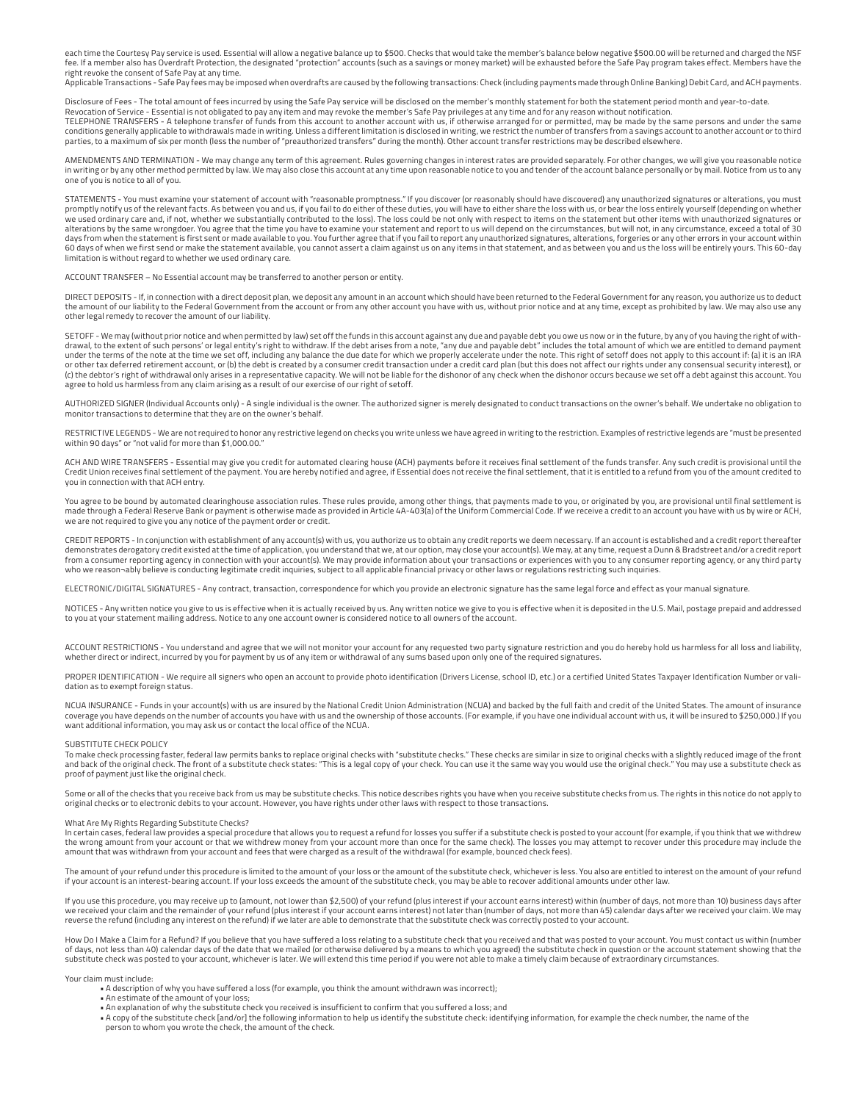each time the Courtesy Pay service is used. Essential will allow a negative balance up to \$500. Checks that would take the member's balance below negative \$500.00 will be returned and charged the NSF<br>fee. If a member also right revoke the consent of Safe Pay at any time.

Applicable Transactions - Safe Pay fees may be imposed when overdrafts are caused by the following transactions: Check (including payments made through Online Banking) Debit Card, and ACH payments.

Disclosure of Fees - The total amount of fees incurred by using the Safe Pay service will be disclosed on the member's monthly statement for both the statement period month and year-to-date.

Revocation of Service - Essential is not obligated to pay any item and may revoke the member's Safe Pay privileges at any time and for any reason without notification.<br>TELEPHONE TRANSFERS - A telephone transfer of funds fr conditions generally applicable to withdrawals made in writing. Unless a different limitation is disclosed in writing, we restrict the number of transfers from a savings account to another account or to third parties, to a maximum of six per month (less the number of "preauthorized transfers" during the month). Other account transfer restrictions may be described elsewhere.

AMENDMENTS AND TERMINATION - We may change any term of this agreement. Rules governing changes in interest rates are provided separately. For other changes, we will give you reasonable notice in writing or by any other method permitted by law. We may also close this account at any time upon reasonable notice to you and tender of the account balance personally or by mail. Notice from us to any one of you is notice to all of you.

STATEMENTS - You must examine your statement of account with "reasonable promptness." If you discover (or reasonably should have discovered) any unauthorized signatures or alterations, you must promptly notify us of the relevant facts. As between you and us, if you fail to do either of these duties, you will have to either share the loss with us, or bear the loss entirely yourself (depending on whether .<br>we used ordinary care and, if not, whether we substantially contributed to the loss). The loss could be not only with respect to items on the statement but other items with unauthorized signatures or alterations by the same wrongdoer. You agree that the time you have to examine your statement and report to us will depend on the circumstances, but will not, in any circumstance, exceed a total of 30 days from when the statement is first sent or made available to you. You further agree that if you fail to report any unauthorized signatures, alterations, forgeries or any other errors in your account within 60 days of when we first send or make the statement available, you cannot assert a claim against us on any items in that statement, and as between you and us the loss will be entirely yours. This 60-day limitation is without regard to whether we used ordinary care.

ACCOUNT TRANSFER – No Essential account may be transferred to another person or entity.

DIRECT DEPOSITS - If, in connection with a direct deposit plan, we deposit any amount in an account which should have been returned to the Federal Government for any reason, you authorize us to deduct the amount of our liability to the Federal Government from the account or from any other account you have with us, without prior notice and at any time, except as prohibited by law. We may also use any other legal remedy to recover the amount of our liability.

SETOFF - We may (without prior notice and when permitted by law) set off the funds in this account against any due and payable debt you owe us now or in the future, by any of you having the right of with-<br>drawal, to the ex under the terms of the note at the time we set off, including any balance the due date for which we properly accelerate under the note. This right of setoff does not apply to this account if: (a) it is an IRA or other tax deferred retirement account, or (b) the debt is created by a consumer credit transaction under a credit card plan (but this does not affect our rights under any consensual security interest), or (c) the debtor's right of withdrawal only arises in a representative capacity. We will not be liable for the dishonor of any check when the dishonor occurs because we set off a debt against this account. You agree to hold us harmless from any claim arising as a result of our exercise of our right of setoff.

AUTHORIZED SIGNER (Individual Accounts only) - A single individual is the owner. The authorized signer is merely designated to conduct transactions on the owner's behalf. We undertake no obligation to monitor transactions to determine that they are on the owner's behalf.

RESTRICTIVE LEGENDS - We are not required to honor any restrictive legend on checks you write unless we have agreed in writing to the restriction. Examples of restrictive legends are "must be presented within 90 days" or "not valid for more than \$1,000.00."

ACH AND WIRE TRANSFERS - Essential may give you credit for automated clearing house (ACH) payments before it receives final settlement of the funds transfer. Any such credit is provisional until the Credit Union receives final settlement of the payment. You are hereby notified and agree, if Essential does not receive the final settlement, that it is entitled to a refund from you of the amount credited to you in connection with that ACH entry.

You agree to be bound by automated clearinghouse association rules. These rules provide, among other things, that payments made to you, or originated by you, are provisional until final settlement is made through a Federal Reserve Bank or payment is otherwise made as provided in Article 4A-403(a) of the Uniform Commercial Code. If we receive a credit to an account you have with us by wire or ACH, we are not required to give you any notice of the payment order or credit.

CREDIT REPORTS - In conjunction with establishment of any account(s) with us, you authorize us to obtain any credit reports we deem necessary. If an account is established and a credit report thereafter demonstrates derogatory credit existed at the time of application, you understand that we, at our option, may close your account(s). We may, at any time, request a Dunn & Bradstreet and/or a credit report<br>from a consumer r who we reason¬ably believe is conducting legitimate credit inquiries, subject to all applicable financial privacy or other laws or regulations restricting such inquiries.

ELECTRONIC/DIGITAL SIGNATURES - Any contract, transaction, correspondence for which you provide an electronic signature has the same legal force and effect as your manual signature.

NOTICES - Any written notice you give to us is effective when it is actually received by us. Any written notice we give to you is effective when it is deposited in the U.S. Mail, postage prepaid and addressed to you at your statement mailing address. Notice to any one account owner is considered notice to all owners of the account.

ACCOUNT RESTRICTIONS - You understand and agree that we will not monitor your account for any requested two party signature restriction and you do hereby hold us harmless for all loss and liability, whether direct or indirect, incurred by you for payment by us of any item or withdrawal of any sums based upon only one of the required signatures.

PROPER IDENTIFICATION - We require all signers who open an account to provide photo identification (Drivers License, school ID, etc.) or a certified United States Taxpayer Identification Number or validation as to exempt foreign status.

NCUA INSURANCE - Funds in your account(s) with us are insured by the National Credit Union Administration (NCUA) and backed by the full faith and credit of the United States. The amount of insurance coverage you have depends on the number of accounts you have with us and the ownership of those accounts. (For example, if you have one individual account with us, it will be insured to \$250,000.) If you want additional information, you may ask us or contact the local office of the NCUA.

#### SUBSTITUTE CHECK POLICY

To make check processing faster, federal law permits banks to replace original checks with "substitute checks." These checks are similar in size to original checks with a slightly reduced image of the front of the original check. The front of a substitute check states: "This is a legal copy of your check. You can use it the same way you would use the original check." You may use a substitute check as a substitute check as proof of payment just like the original check.

Some or all of the checks that you receive back from us may be substitute checks. This notice describes rights you have when you receive substitute checks from us. The rights in this notice do not apply to original checks or to electronic debits to your account. However, you have rights under other laws with respect to those transactions.

### What Are My Rights Regarding Substitute Checks?

In certain cases, federal law provides a special procedure that allows you to request a refund for losses you suffer if a substitute check is posted to your account (for example, if you think that we withdrew the wrong amount from your account or that we withdrew money from your account more than once for the same check). The losses you may attempt to recover under this procedure may include the amount that was withdrawn from your account and fees that were charged as a result of the withdrawal (for example, bounced check fees).

The amount of your refund under this procedure is limited to the amount of your loss or the amount of the substitute check, whichever is less. You also are entitled to interest on the amount of your refund if your account is an interest-bearing account. If your loss exceeds the amount of the substitute check, you may be able to recover additional amounts under other law.

If you use this procedure, you may receive up to (amount, not lower than \$2,500) of your refund (plus interest if your account earns interest) within (number of days, not more than 10) business days after we received your claim and the remainder of your refund (plus interest if your account earns interest) not later than (number of days, not more than 45) calendar days after we received your claim. We may reverse the refund (including any interest on the refund) if we later are able to demonstrate that the substitute check was correctly posted to your account.

How Do I Make a Claim for a Refund? If you believe that you have suffered a loss relating to a substitute check that you received and that was posted to your account. You must contact us within (number of days, not less than 40) calendar days of the date that we mailed (or otherwise delivered by a means to which you agreed) the substitute check in question or the account statement showing that the<br>substitute check was po

#### Your claim must include:

- A description of why you have suffered a loss (for example, you think the amount withdrawn was incorrect);
- An estimate of the amount of your loss;
- An explanation of why the substitute check you received is insufficient to confirm that you suffered a loss; and
- A copy of the substitute check [and/or] the following information to help us identify the substitute check: identifying information, for example the check number, the name of the person to whom you wrote the check, the amount of the check.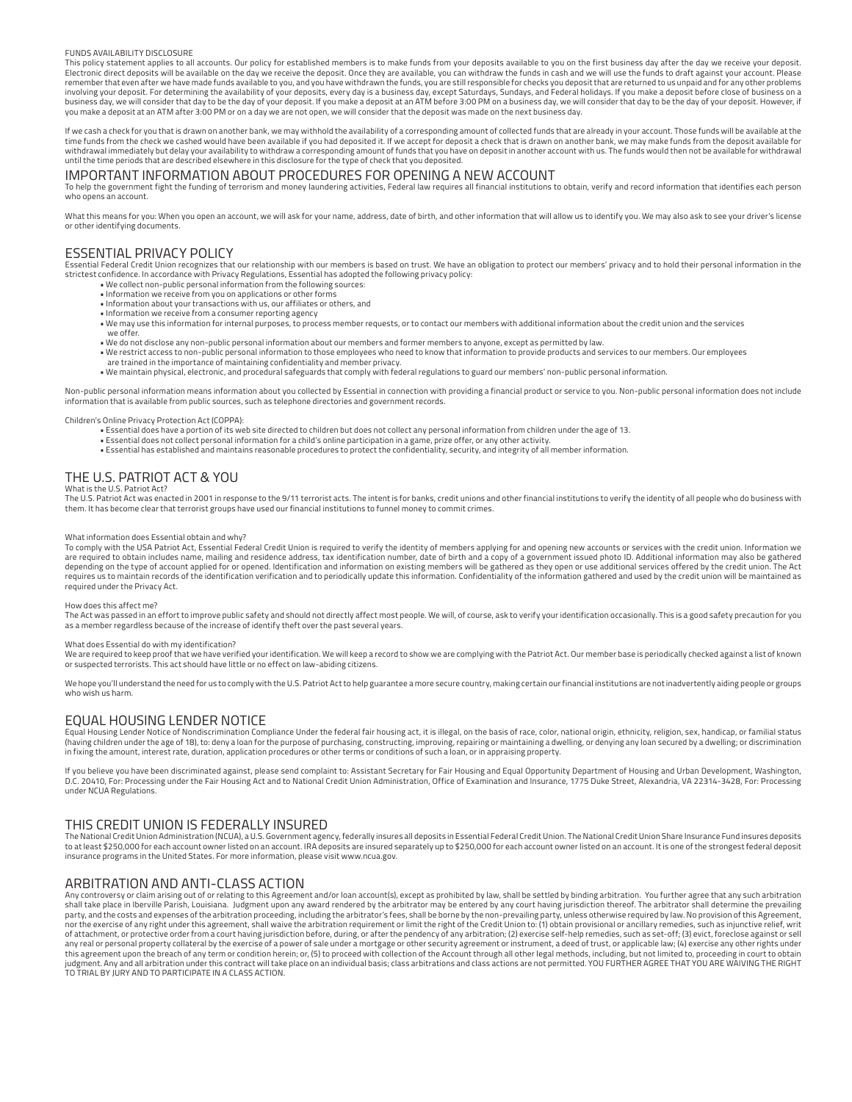### FUNDS AVAILABILITY DISCLOSURE

This policy statement applies to all accounts. Our policy for established members is to make funds from your deposits available to you on the first business day after the day we receive your deposit. Electronic direct deposits will be available on the day we receive the deposit. Once they are available, you can withdraw the funds in cash and we will use the funds to draft against your account. Please remember that even after we have made funds available to you, and you have withdrawn the funds, you are still responsible for checks you deposit that are returned to us unpaid and for any other problems<br>involving your depo business day, we will consider that day to be the day of your deposit. If you make a deposit at an ATM before 3:00 PM on a business day, we will consider that day to be the day of your deposit. However, if you make a deposit at an ATM after 3:00 PM or on a day we are not open, we will consider that the deposit was made on the next business day.

If we cash a check for you that is drawn on another bank, we may withhold the availability of a corresponding amount of collected funds that are already in your account. Those funds will be available at the time funds from the check we cashed would have been available if you had deposited it. If we accept for deposit a check that is drawn on another bank, we may make funds from the deposit available for<br>withdrawal immediately until the time periods that are described elsewhere in this disclosure for the type of check that you deposited.

### IMPORTANT INFORMATION ABOUT PROCEDURES FOR OPENING A NEW ACCOUNT

To help the government fight the funding of terrorism and money laundering activities, Federal law requires all financial institutions to obtain, verify and record information that identifies each person who opens an account

What this means for you: When you open an account, we will ask for your name, address, date of birth, and other information that will allow us to identify you. We may also ask to see your driver's license or other identifying documents.

### ESSENTIAL PRIVACY POLICY

Essential Federal Credit Union recognizes that our relationship with our members is based on trust. We have an obligation to protect our members' privacy and to hold their personal information in the strictest confidence. In accordance with Privacy Regulations, Essential has adopted the following privacy policy:

- We collect non-public personal information from the following sources:
- Information we receive from you on applications or other forms
- Information about your transactions with us, our affiliates or others, and • Information we receive from a consumer reporting agency
- We may use this information for internal purposes, to process member requests, or to contact our members with additional information about the credit union and the services
- we offer. • We do not disclose any non-public personal information about our members and former members to anyone, except as permitted by law.
- We restrict access to non-public personal information to those employees who need to know that information to provide products and services to our members. Our employees
- are trained in the importance of maintaining confidentiality and member privacy.<br>• We maintain physical, electronic, and procedural safeguards that comply with federal regulations to guard our members' non-public personal

Non-public personal information means information about you collected by Essential in connection with providing a financial product or service to you. Non-public personal information does not include<br>information that is av

#### Children's Online Privacy Protection Act (COPPA):

- Essential does have a portion of its web site directed to children but does not collect any personal information from children under the age of 13.
- Essential does not collect personal information for a child's online participation in a game, prize offer, or any other activity.
- Essential has established and maintains reasonable procedures to protect the confidentiality, security, and integrity of all member information.

### THE U.S. PATRIOT ACT & YOU

### What is the U.S. Patriot Act?

The U.S. Patriot Act was enacted in 2001 in response to the 9/11 terrorist acts. The intent is for banks, credit unions and other financial institutions to verify the identity of all people who do business with them. It has become clear that terrorist groups have used our financial institutions to funnel money to commit crimes.

#### What information does Essential obtain and why?

To comply with the USA Patriot Act, Essential Federal Credit Union is required to verify the identity of members applying for and opening new accounts or services with the credit union. Information we are required to obtain includes name, mailing and residence address, tax identification number, date of birth and a copy of a government issued photo ID. Additional information may also be gathered depending on the type of account applied for or opened. Identification and information on existing members will be gathered as they open or use additional services offered by the credit union. The Act requires us to maintain records of the identification verification and to periodically update this information. Confidentiality of the information gathered and used by the credit union will be maintained as required under the Privacy Act.

### How does this affect me?

The Act was passed in an effort to improve public safety and should not directly affect most people. We will, of course, ask to verify your identification occasionally. This is a good safety precaution for you<br>as a member

#### What does Essential do with my identification?

We are required to keep proof that we have verified your identification. We will keep a record to show we are complying with the Patriot Act. Our member base is periodically checked against a list of known or suspected terrorists. This act should have little or no effect on law-abiding citizens.

We hope you'll understand the need for us to comply with the U.S. Patriot Act to help guarantee a more secure country, making certain our financial institutions are not inadvertently aiding people or groups who wish us harm.

### EQUAL HOUSING LENDER NOTICE

Equal Housing Lender Notice of Nondiscrimination Compliance Under the federal fair housing act, it is illegal, on the basis of race, color, national origin, ethnicity, religion, sex, handicap, or familial status (having children under the age of 18), to: deny a loan for the purpose of purchasing, constructing, improving, repairing or maintaining a dwelling, or denying any loan secured by a dwelling; or discrimination in fixing the amount, interest rate, duration, application procedures or other terms or conditions of such a loan, or in appraising property.

If you believe you have been discriminated against, please send complaint to: Assistant Secretary for Fair Housing and Equal Opportunity Department of Housing and Urban Development, Washington, D.C. 20410, For: Processing under the Fair Housing Act and to National Credit Union Administration, Office of Examination and Insurance, 1775 Duke Street, Alexandria, VA 22314-3428, For: Processing under NCUA Regulations.

### THIS CREDIT UNION IS FEDERALLY INSURED

The National Credit Union Administration (NCUA), a U.S. Government agency, federally insures all deposits in Essential Federal Credit Union. The National Credit Union Share Insurance Fund insures deposits<br>to at least \$250, insurance programs in the United States. For more information, please visit www.ncua.gov.

### ARBITRATION AND ANTI-CLASS ACTION

Any controversy or claim arising out of or relating to this Agreement and/or loan account(s), except as prohibited by law, shall be settled by binding arbitration. You further agree that any such arbitration<br>shall take pla nor the exercise of any right under this agreement, shall waive the arbitration requirement or limit the right of the Credit Union to: (1) obtain provisional or ancillary remedies, such as injunctive relief, writ<br>of attach this agreement upon the breach of any term or condition herein; or, (5) to proceed with collection of the Account through all other legal methods, including, but not limited to, proceeding in court to obtain<br>judgment. Any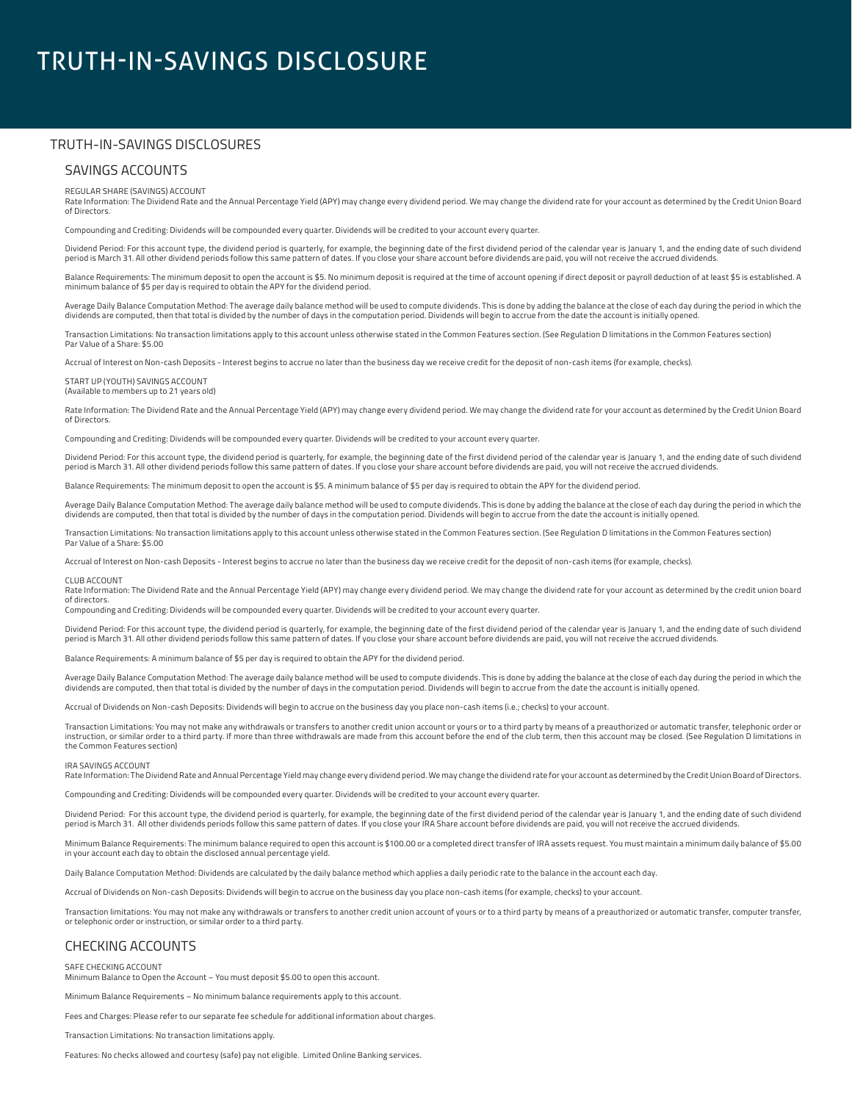# TRUTH-IN-SAVINGS DISCLOSURE

### TRUTH-IN-SAVINGS DISCLOSURES

### SAVINGS ACCOUNTS

### REGULAR SHARE (SAVINGS) ACCOUNT

Rate Information: The Dividend Rate and the Annual Percentage Yield (APY) may change every dividend period. We may change the dividend rate for your account as determined by the Credit Union Board of Directors.

Compounding and Crediting: Dividends will be compounded every quarter. Dividends will be credited to your account every quarter.

Dividend Period: For this account type, the dividend period is quarterly, for example, the beginning date of the first dividend period of the calendar year is January 1, and the ending date of such dividend period is March 31. All other dividend periods follow this same pattern of dates. If you close your share account before dividends are paid, you will not receive the accrued dividends.

Balance Requirements: The minimum deposit to open the account is \$5. No minimum deposit is required at the time of account opening if direct deposit or payroll deduction of at least \$5 is established. A<br>minimum balance of

Average Daily Balance Computation Method: The average daily balance method will be used to compute dividends. This is done by adding the balance at the close of each day during the period in which the dividends are computed, then that total is divided by the number of days in the computation period. Dividends will begin to accrue from the date the account is initially opened

Transaction Limitations: No transaction limitations apply to this account unless otherwise stated in the Common Features section. (See Regulation D limitations in the Common Features section) Par Value of a Share: \$5.00

Accrual of Interest on Non-cash Deposits - Interest begins to accrue no later than the business day we receive credit for the deposit of non-cash items (for example, checks).

### START UP (YOUTH) SAVINGS ACCOUNT (Available to members up to 21 years old)

Rate Information: The Dividend Rate and the Annual Percentage Yield (APY) may change every dividend period. We may change the dividend rate for your account as determined by the Credit Union Board of Directors.

Compounding and Crediting: Dividends will be compounded every quarter. Dividends will be credited to your account every quarter.

Dividend Period: For this account type, the dividend period is quarterly, for example, the beginning date of the first dividend period of the calendar year is January 1, and the ending date of such dividend period is March 31. All other dividend periods follow this same pattern of dates. If you close your share account before dividends are paid, you will not receive the accrued dividends.

Balance Requirements: The minimum deposit to open the account is \$5. A minimum balance of \$5 per day is required to obtain the APY for the dividend period.

Average Daily Balance Computation Method: The average daily balance method will be used to compute dividends. This is done by adding the balance at the close of each day during the period in which the dividends are computed, then that total is divided by the number of days in the computation period. Dividends will begin to accrue from the date the account is initially opened.

Transaction Limitations: No transaction limitations apply to this account unless otherwise stated in the Common Features section. (See Regulation D limitations in the Common Features section) Par Value of a Share: \$5.00

Accrual of Interest on Non-cash Deposits - Interest begins to accrue no later than the business day we receive credit for the deposit of non-cash items (for example, checks).

#### CLUB ACCOUNT

Rate Information: The Dividend Rate and the Annual Percentage Yield (APY) may change every dividend period. We may change the dividend rate for your account as determined by the credit union board of directors.

Compounding and Crediting: Dividends will be compounded every quarter. Dividends will be credited to your account every quarter.

Dividend Period: For this account type, the dividend period is quarterly, for example, the beginning date of the first dividend period of the calendar year is January 1, and the ending date of such dividend period is March 31. All other dividend periods follow this same pattern of dates. If you close your share account before dividends are paid, you will not receive the accrued dividends.

Balance Requirements: A minimum balance of \$5 per day is required to obtain the APY for the dividend period.

Average Daily Balance Computation Method: The average daily balance method will be used to compute dividends. This is done by adding the balance at the close of each day during the period in which the<br>dividends are compute

Accrual of Dividends on Non-cash Deposits: Dividends will begin to accrue on the business day you place non-cash items (i.e.; checks) to your account.

Transaction Limitations: You may not make any withdrawals or transfers to another credit union account or yours or to a third party by means of a preauthorized or automatic transfer, telephonic order or instruction, or similar order to a third party. If more than three withdrawals are made from this account before the end of the club term, then this account may be closed. (See Regulation D limitations in<br>the Common Featur

#### IRA SAVINGS ACCOUNT

Rate Information: The Dividend Rate and Annual Percentage Yield may change every dividend period. We may change the dividend rate for your account as determined by the Credit Union Board of Directors.

Compounding and Crediting: Dividends will be compounded every quarter. Dividends will be credited to your account every quarter.

Dividend Period: For this account type, the dividend period is quarterly, for example, the beginning date of the first dividend period of the calendar year is January 1, and the ending date of such dividend period is March 31. All other dividends periods follow this same pattern of dates. If you close your IRA Share account before dividends are paid, you will not receive the accrued dividends

Minimum Balance Requirements: The minimum balance required to open this account is \$100.00 or a completed direct transfer of IRA assets request. You must maintain a minimum daily balance of \$5.00 in your account each day to obtain the disclosed annual percentage yield.

Daily Balance Computation Method: Dividends are calculated by the daily balance method which applies a daily periodic rate to the balance in the account each day.

Accrual of Dividends on Non-cash Deposits: Dividends will begin to accrue on the business day you place non-cash items (for example, checks) to your account.

Transaction limitations: You may not make any withdrawals or transfers to another credit union account of yours or to a third party by means of a preauthorized or automatic transfer, computer transfer, or telephonic order or instruction, or similar order to a third party.

### CHECKING ACCOUNTS

#### SAFE CHECKING ACCOUNT

Minimum Balance to Open the Account – You must deposit \$5.00 to open this account.

Minimum Balance Requirements – No minimum balance requirements apply to this account.

Fees and Charges: Please refer to our separate fee schedule for additional information about charges.

Transaction Limitations: No transaction limitations apply.

Features: No checks allowed and courtesy (safe) pay not eligible. Limited Online Banking services.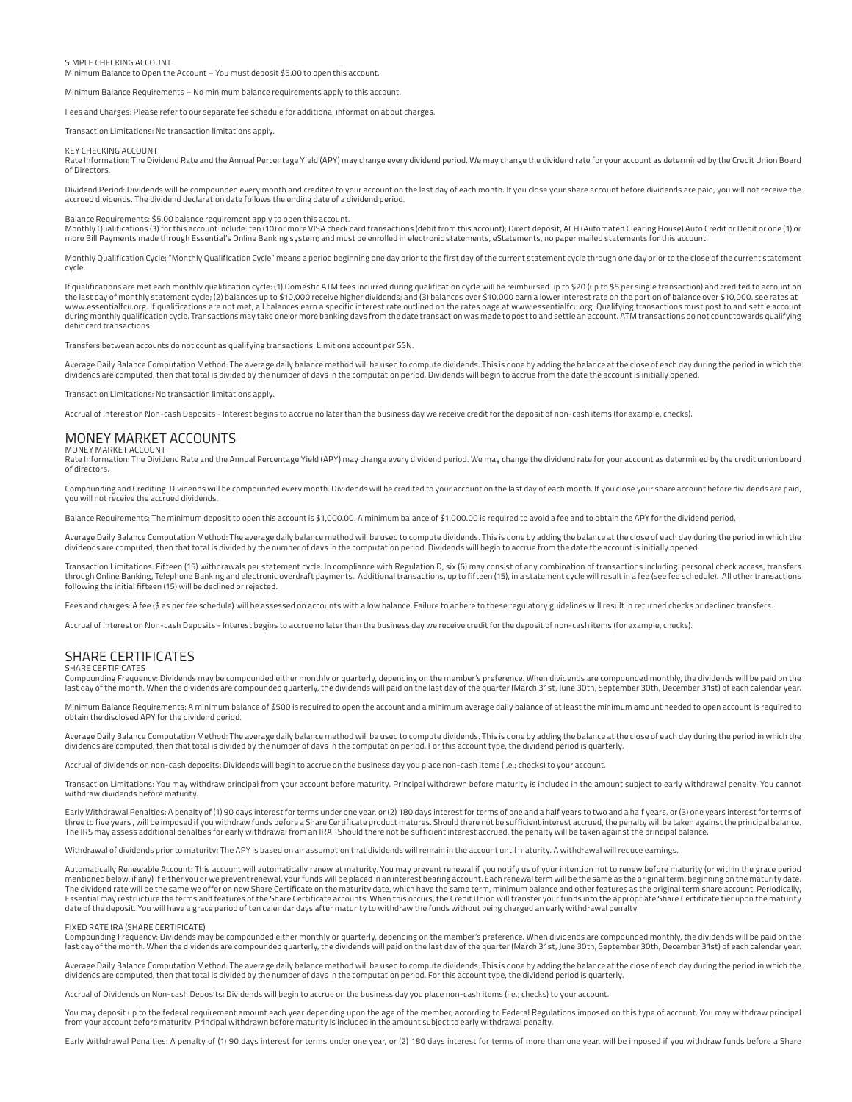### SIMPLE CHECKING ACCOUNT

Minimum Balance to Open the Account – You must deposit \$5.00 to open this account.

Minimum Balance Requirements – No minimum balance requirements apply to this account.

Fees and Charges: Please refer to our separate fee schedule for additional information about charges.

#### Transaction Limitations: No transaction limitations apply.

KEY CHECKING ACCOUNT

Rate Information: The Dividend Rate and the Annual Percentage Yield (APY) may change every dividend period. We may change the dividend rate for your account as determined by the Credit Union Board of Directors.

Dividend Period: Dividends will be compounded every month and credited to your account on the last day of each month. If you close your share account before dividends are paid, you will not receive the accrued dividends. The dividend declaration date follows the ending date of a dividend period.

Balance Requirements: \$5.00 balance requirement apply to open this account.<br>Monthly Qualifications (3) for this account include: ten (10) or more VISA check card transactions (debit from this account); Direct deposit, ACH more Bill Payments made through Essential's Online Banking system; and must be enrolled in electronic statements, eStatements, no paper mailed statements for this account.

Monthly Qualification Cycle: "Monthly Qualification Cycle" means a period beginning one day prior to the first day of the current statement cycle through one day prior to the close of the current statement cycle.

If qualifications are met each monthly qualification cycle: (1) Domestic ATM fees incurred during qualification cycle will be reimbursed up to \$20 (up to \$5 per single transaction) and credited to account on the last day of monthly statement cycle; (2) balances up to \$10,000 receive higher dividends; and (3) balances over \$10,000 earn a lower interest rate on the portion of balance over \$10,000. see rates at www.essentialfcu.org. If qualifications are not met, all balances earn a specific interest rate outlined on the rates page at www.essentialfcu.org. Qualifying transactions must post to and settle account<br>during monthly qua debit card transactions.

Transfers between accounts do not count as qualifying transactions. Limit one account per SSN.

Average Daily Balance Computation Method: The average daily balance method will be used to compute dividends. This is done by adding the balance at the close of each day during the period in which the<br>dividends are compute

Transaction Limitations: No transaction limitations apply.

Accrual of Interest on Non-cash Deposits - Interest begins to accrue no later than the business day we receive credit for the deposit of non-cash items (for example, checks).

#### MONEY MARKET ACCOUNTS MONEY MARKET ACCOUNT

Rate Information: The Dividend Rate and the Annual Percentage Yield (APY) may change every dividend period. We may change the dividend rate for your account as determined by the credit union board of directors.

Compounding and Crediting: Dividends will be compounded every month. Dividends will be credited to your account on the last day of each month. If you close your share account before dividends are paid, you will not receive the accrued dividends.

Balance Requirements: The minimum deposit to open this account is \$1,000.00. A minimum balance of \$1,000.00 is required to avoid a fee and to obtain the APY for the dividend period.

Average Daily Balance Computation Method: The average daily balance method will be used to compute dividends. This is done by adding the balance at the close of each day during the period in which the<br>dividends are compute

Transaction Limitations: Fifteen (15) withdrawals per statement cycle. In compliance with Regulation D, six (6) may consist of any combination of transactions including: personal check access, transfers<br>through Online Bank following the initial fifteen (15) will be declined or rejected.

Fees and charges: A fee (\$ as per fee schedule) will be assessed on accounts with a low balance. Failure to adhere to these regulatory guidelines will result in returned checks or declined transfers.

Accrual of Interest on Non-cash Deposits - Interest begins to accrue no later than the business day we receive credit for the deposit of non-cash items (for example, checks).

### SHARE CERTIFICATES

### SHARE CERTIFICATES

Compounding Frequency: Dividends may be compounded either monthly or quarterly, depending on the member's preference. When dividends are compounded monthly, the dividends will be paid on the<br>last day of the month. When the

Minimum Balance Requirements: A minimum balance of \$500 is required to open the account and a minimum average daily balance of at least the minimum amount needed to open account is required to<br>obtain the disclosed APY for

Average Daily Balance Computation Method: The average daily balance method will be used to compute dividends. This is done by adding the balance at the close of each day during the period in which the<br>dividends are compute

Accrual of dividends on non-cash deposits: Dividends will begin to accrue on the business day you place non-cash items (i.e.; checks) to your account.

Transaction Limitations: You may withdraw principal from your account before maturity. Principal withdrawn before maturity is included in the amount subject to early withdrawal penalty. You cannot withdraw dividends before maturity.

Early Withdrawal Penalties: A penalty of (1) 90 days interest for terms under one year, or (2) 180 days interest for terms of one and a half years to two and a half years, or (3) one years interest for terms of three to five years , will be imposed if you withdraw funds before a Share Certificate product matures. Should there not be sufficient interest accrued, the penalty will be taken against the principal balance. The IRS may assess additional penalties for early withdrawal from an IRA. Should there not be sufficient interest accrued, the penalty will be taken against the principal balance.

Withdrawal of dividends prior to maturity: The APY is based on an assumption that dividends will remain in the account until maturity. A withdrawal will reduce earnings

Automatically Renewable Account: This account will automatically renew at maturity. You may prevent renewal if you notify us of your intention not to renew before maturity (or within the grace period<br>mentioned below, if an The dividend rate will be the same we offer on new Share Certificate on the maturity date, which have the same term, minimum balance and other features as the original term share account. Periodically, Essential may restructure the terms and features of the Share Certificate accounts. When this occurs, the Credit Union will transfer your funds into the appropriate Share Certificate tier upon the maturity<br>date of the depo

### FIXED RATE IRA (SHARE CERTIFICATE)

Compounding Frequency: Dividends may be compounded either monthly or quarterly, depending on the member's preference. When dividends are compounded monthly, the dividends will be paid on the last day of the month. When the dividends are compounded quarterly, the dividends will paid on the last day of the quarter (March 31st, June 30th, September 30th, December 31st) of each calendar year.

Average Daily Balance Computation Method: The average daily balance method will be used to compute dividends. This is done by adding the balance at the close of each day during the period in which the dividends are computed, then that total is divided by the number of days in the computation period. For this account type, the dividend period is quarterly.

Accrual of Dividends on Non-cash Deposits: Dividends will begin to accrue on the business day you place non-cash items (i.e.; checks) to your account.

You may deposit up to the federal requirement amount each year depending upon the age of the member, according to Federal Regulations imposed on this type of account. You may withdraw principal from your account before maturity. Principal withdrawn before maturity is included in the amount subject to early withdrawal penalty.

Early Withdrawal Penalties: A penalty of (1) 90 days interest for terms under one year, or (2) 180 days interest for terms of more than one year, will be imposed if you withdraw funds before a Share